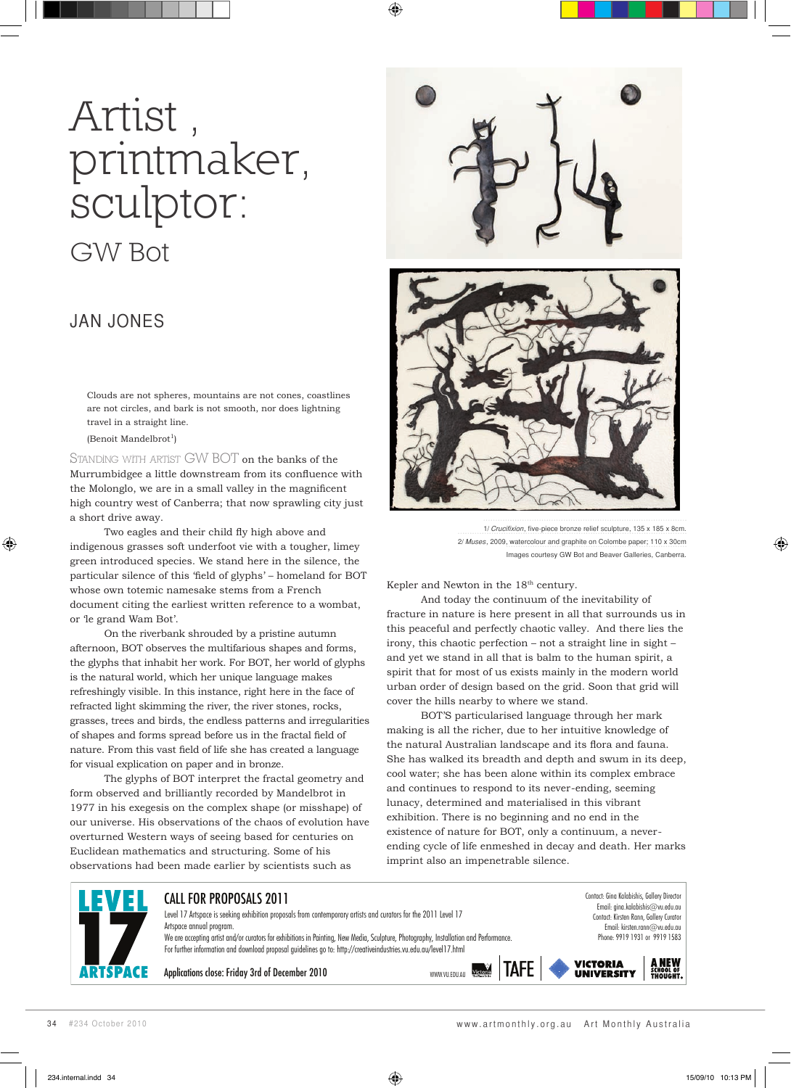## Artist , printmaker, sculptor: GW Bot

## JAN JONES

Clouds are not spheres, mountains are not cones, coastlines are not circles, and bark is not smooth, nor does lightning travel in a straight line.

(Benoit Mandelbrot<sup>1</sup>)

⊕

STANDING WITH ARTIST GW BOT on the banks of the Murrumbidgee a little downstream from its confluence with the Molonglo, we are in a small valley in the magnificent high country west of Canberra; that now sprawling city just a short drive away.

Two eagles and their child fly high above and indigenous grasses soft underfoot vie with a tougher, limey green introduced species. We stand here in the silence, the particular silence of this 'field of glyphs' – homeland for BOT whose own totemic namesake stems from a French document citing the earliest written reference to a wombat, or 'le grand Wam Bot'.

On the riverbank shrouded by a pristine autumn afternoon, BOT observes the multifarious shapes and forms, the glyphs that inhabit her work. For BOT, her world of glyphs is the natural world, which her unique language makes refreshingly visible. In this instance, right here in the face of refracted light skimming the river, the river stones, rocks, grasses, trees and birds, the endless patterns and irregularities of shapes and forms spread before us in the fractal field of nature. From this vast field of life she has created a language for visual explication on paper and in bronze.

The glyphs of BOT interpret the fractal geometry and form observed and brilliantly recorded by Mandelbrot in 1977 in his exegesis on the complex shape (or misshape) of our universe. His observations of the chaos of evolution have overturned Western ways of seeing based for centuries on Euclidean mathematics and structuring. Some of his observations had been made earlier by scientists such as



⊕



1/ Crucifixion, five-piece bronze relief sculpture, 135 x 185 x 8cm 2/ Muses, 2009, watercolour and graphite on Colombe paper; 110 x 30cm Images courtesy GW Bot and Beaver Galleries, Canberra.

Kepler and Newton in the 18<sup>th</sup> century.

And today the continuum of the inevitability of fracture in nature is here present in all that surrounds us in this peaceful and perfectly chaotic valley. And there lies the irony, this chaotic perfection – not a straight line in sight – and yet we stand in all that is balm to the human spirit, a spirit that for most of us exists mainly in the modern world urban order of design based on the grid. Soon that grid will cover the hills nearby to where we stand.

BOT'S particularised language through her mark making is all the richer, due to her intuitive knowledge of the natural Australian landscape and its flora and fauna. She has walked its breadth and depth and swum in its deep, cool water; she has been alone within its complex embrace and continues to respond to its never-ending, seeming lunacy, determined and materialised in this vibrant exhibition. There is no beginning and no end in the existence of nature for BOT, only a continuum, a neverending cycle of life enmeshed in decay and death. Her marks imprint also an impenetrable silence.



◈